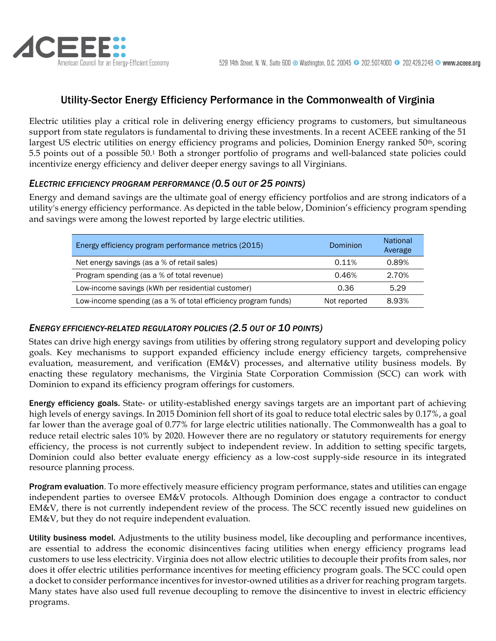

# Utility-Sector Energy Efficiency Performance in the Commonwealth of Virginia

Electric utilities play a critical role in delivering energy efficiency programs to customers, but simultaneous support from state regulators is fundamental to driving these investments. In a recent ACEEE ranking of the 51 largest US electric utilities on energy efficiency programs and policies, Dominion Energy ranked 50<sup>th</sup>, scoring 5.5 points out of a possible 50.1 Both a stronger portfolio of programs and well-balanced state policies could incentivize energy efficiency and deliver deeper energy savings to all Virginians.

## *ELECTRIC EFFICIENCY PROGRAM PERFORMANCE (0.5 OUT OF 25 POINTS)*

Energy and demand savings are the ultimate goal of energy efficiency portfolios and are strong indicators of a utility's energy efficiency performance. As depicted in the table below, Dominion's efficiency program spending and savings were among the lowest reported by large electric utilities.

| Energy efficiency program performance metrics (2015)           | Dominion     | <b>National</b><br>Average |
|----------------------------------------------------------------|--------------|----------------------------|
| Net energy savings (as a % of retail sales)                    | 0.11%        | 0.89%                      |
| Program spending (as a % of total revenue)                     | 0.46%        | 2.70%                      |
| Low-income savings (kWh per residential customer)              | 0.36         | 5.29                       |
| Low-income spending (as a % of total efficiency program funds) | Not reported | 8.93%                      |

#### *ENERGY EFFICIENCY-RELATED REGULATORY POLICIES (2.5 OUT OF 10 POINTS)*

States can drive high energy savings from utilities by offering strong regulatory support and developing policy goals. Key mechanisms to support expanded efficiency include energy efficiency targets, comprehensive evaluation, measurement, and verification (EM&V) processes, and alternative utility business models. By enacting these regulatory mechanisms, the Virginia State Corporation Commission (SCC) can work with Dominion to expand its efficiency program offerings for customers.

Energy efficiency goals. State- or utility-established energy savings targets are an important part of achieving high levels of energy savings. In 2015 Dominion fell short of its goal to reduce total electric sales by 0.17%, a goal far lower than the average goal of 0.77% for large electric utilities nationally. The Commonwealth has a goal to reduce retail electric sales 10% by 2020. However there are no regulatory or statutory requirements for energy efficiency, the process is not currently subject to independent review. In addition to setting specific targets, Dominion could also better evaluate energy efficiency as a low-cost supply-side resource in its integrated resource planning process.

Program evaluation. To more effectively measure efficiency program performance, states and utilities can engage independent parties to oversee EM&V protocols. Although Dominion does engage a contractor to conduct EM&V, there is not currently independent review of the process. The SCC recently issued new guidelines on EM&V, but they do not require independent evaluation.

Utility business model. Adjustments to the utility business model, like decoupling and performance incentives, are essential to address the economic disincentives facing utilities when energy efficiency programs lead customers to use less electricity. Virginia does not allow electric utilities to decouple their profits from sales, nor does it offer electric utilities performance incentives for meeting efficiency program goals. The SCC could open a docket to consider performance incentives for investor-owned utilities as a driver for reaching program targets. Many states have also used full revenue decoupling to remove the disincentive to invest in electric efficiency programs.